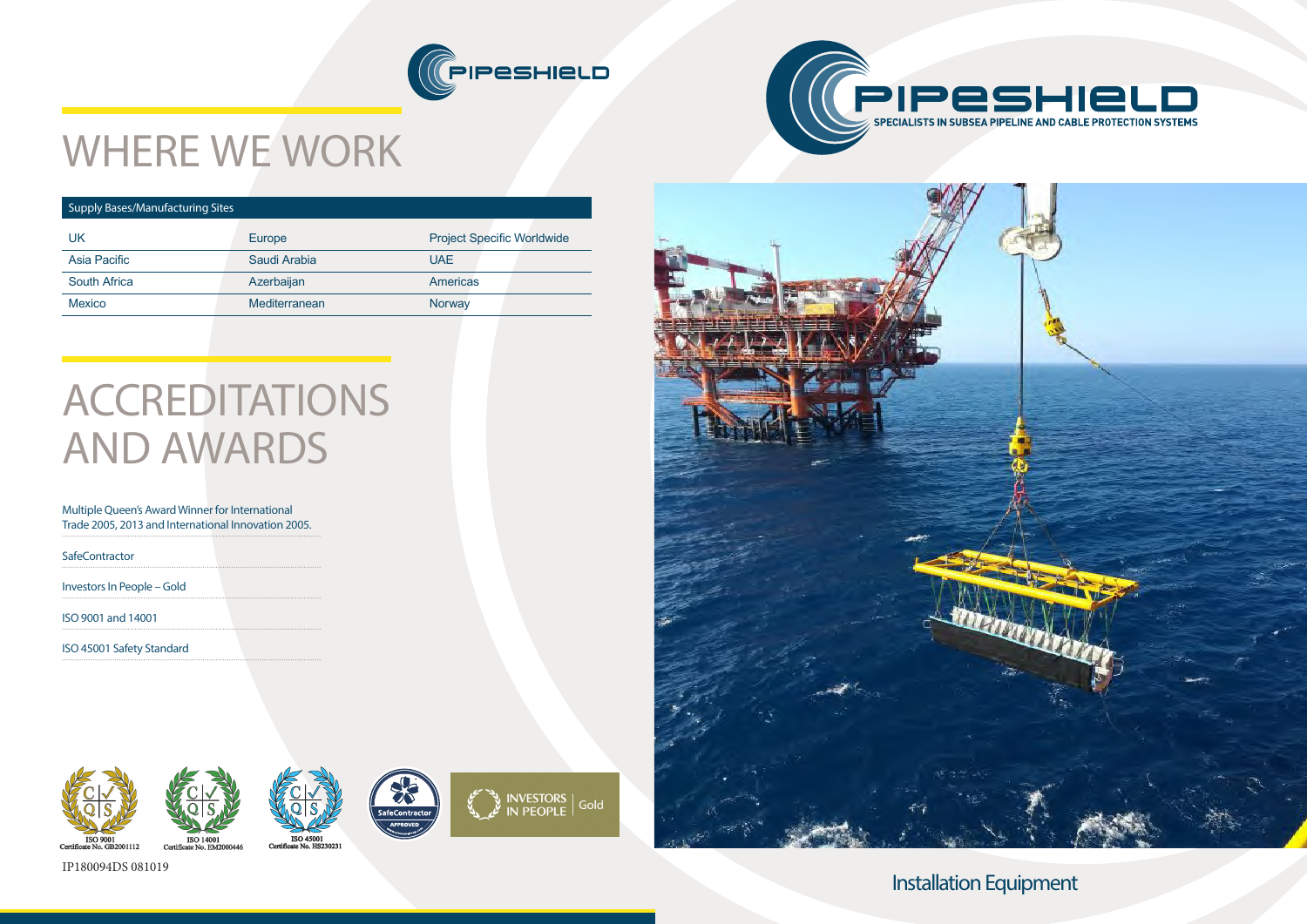# Installation Equipment













# WHERE WE WORK

### Supply Bases/Manufacturing Sites

| UK                  | Europe        | <b>Project Specific Worldwide</b> |
|---------------------|---------------|-----------------------------------|
| Asia Pacific        | Saudi Arabia  | UAE.                              |
| <b>South Africa</b> | Azerbaijan    | <b>Americas</b>                   |
| <b>Mexico</b>       | Mediterranean | Norway                            |
|                     |               |                                   |

# ACCREDITATIONS AND AWARDS

### Multiple Queen's Award Winner for International Trade 2005, 2013 and International Innovation 2005.

**SafeContractor** 

Investors In People – Gold

ISO 9001 and 14001

ISO 45001 Safety Standard





IP180094DS 081019

Certif